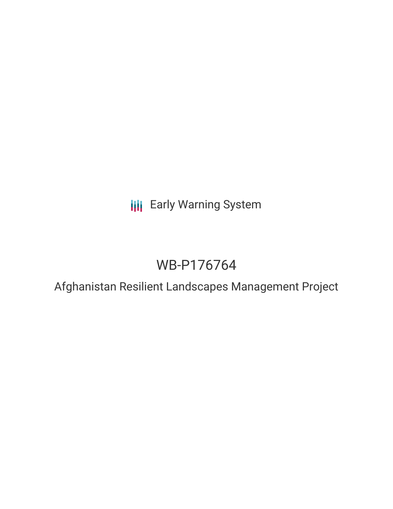**III** Early Warning System

# WB-P176764

Afghanistan Resilient Landscapes Management Project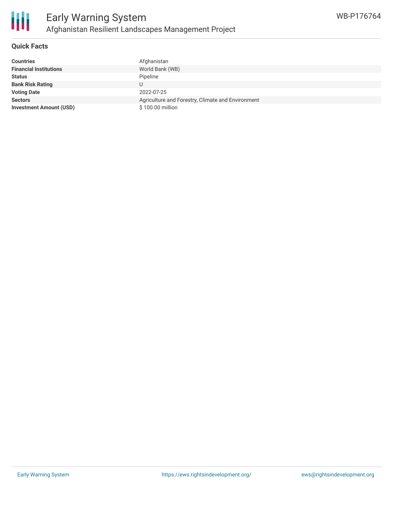

#### **Quick Facts**

冊

| <b>Countries</b>               | Afghanistan                                       |
|--------------------------------|---------------------------------------------------|
| <b>Financial Institutions</b>  | World Bank (WB)                                   |
| <b>Status</b>                  | Pipeline                                          |
| <b>Bank Risk Rating</b>        |                                                   |
| <b>Voting Date</b>             | 2022-07-25                                        |
| <b>Sectors</b>                 | Agriculture and Forestry, Climate and Environment |
| <b>Investment Amount (USD)</b> | \$100.00 million                                  |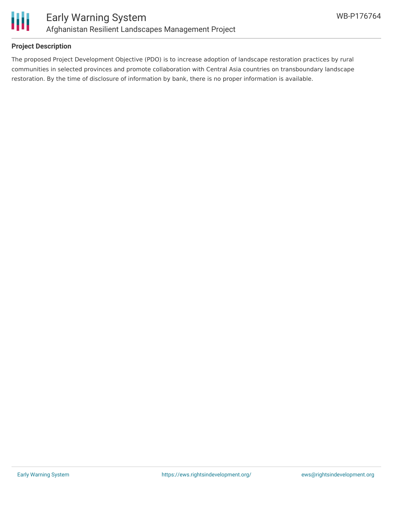

## **Project Description**

The proposed Project Development Objective (PDO) is to increase adoption of landscape restoration practices by rural communities in selected provinces and promote collaboration with Central Asia countries on transboundary landscape restoration. By the time of disclosure of information by bank, there is no proper information is available.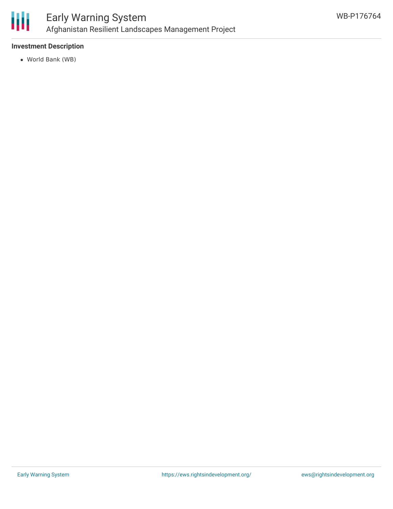

## **Investment Description**

World Bank (WB)